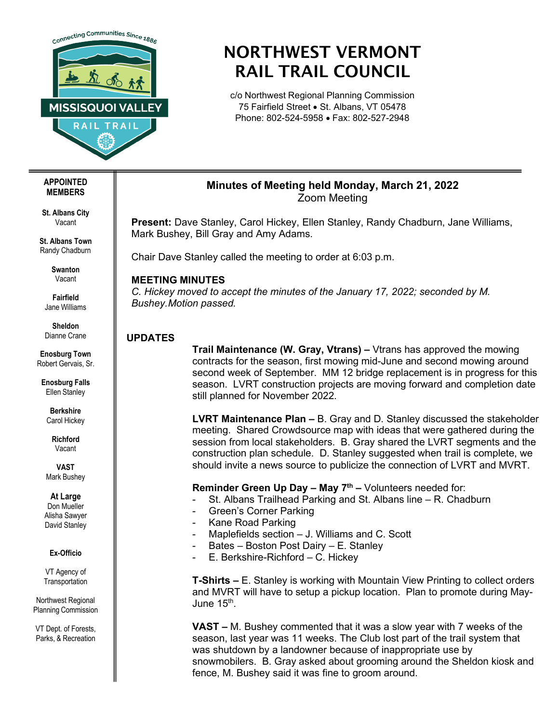

# NORTHWEST VERMONT RAIL TRAIL COUNCIL

c/o Northwest Regional Planning Commission 75 Fairfield Street • St. Albans, VT 05478 Phone: 802-524-5958 • Fax: 802-527-2948

## **Minutes of Meeting held Monday, March 21, 2022** Zoom Meeting

**Present:** Dave Stanley, Carol Hickey, Ellen Stanley, Randy Chadburn, Jane Williams, Mark Bushey, Bill Gray and Amy Adams.

Chair Dave Stanley called the meeting to order at 6:03 p.m.

# **MEETING MINUTES**

*C. Hickey moved to accept the minutes of the January 17, 2022; seconded by M. Bushey. Motion passed.*

## **UPDATES**

**Trail Maintenance (W. Gray, Vtrans) –** Vtrans has approved the mowing contracts for the season, first mowing mid-June and second mowing around second week of September. MM 12 bridge replacement is in progress for this season. LVRT construction projects are moving forward and completion date still planned for November 2022.

**LVRT Maintenance Plan –** B. Gray and D. Stanley discussed the stakeholder meeting. Shared Crowdsource map with ideas that were gathered during the session from local stakeholders. B. Gray shared the LVRT segments and the construction plan schedule. D. Stanley suggested when trail is complete, we should invite a news source to publicize the connection of LVRT and MVRT.

**Reminder Green Up Day – May 7<sup>th</sup> –** Volunteers needed for:

- St. Albans Trailhead Parking and St. Albans line R. Chadburn
- Green's Corner Parking
- Kane Road Parking
- Maplefields section J. Williams and C. Scott
- Bates Boston Post Dairy E. Stanley
- E. Berkshire-Richford C. Hickey

**T-Shirts –** E. Stanley is working with Mountain View Printing to collect orders and MVRT will have to setup a pickup location. Plan to promote during May-June 15<sup>th</sup>.

**VAST –** M. Bushey commented that it was a slow year with 7 weeks of the season, last year was 11 weeks. The Club lost part of the trail system that was shutdown by a landowner because of inappropriate use by snowmobilers. B. Gray asked about grooming around the Sheldon kiosk and fence, M. Bushey said it was fine to groom around.

#### **APPOINTED MEMBERS**

**St. Albans City** Vacant

**St. Albans Town** Randy Chadburn

> **Swanton** Vacant

**Fairfield** Jane Williams

**Sheldon** Dianne Crane

**Enosburg Town** Robert Gervais, Sr.

**Enosburg Falls** Ellen Stanley

**Berkshire** Carol Hickey

> **Richford** Vacant

**VAST** Mark Bushey

**At Large**

Don Mueller Alisha Sawyer David Stanley

#### **Ex-Officio**

VT Agency of **Transportation** 

Northwest Regional Planning Commission

VT Dept. of Forests, Parks, & Recreation